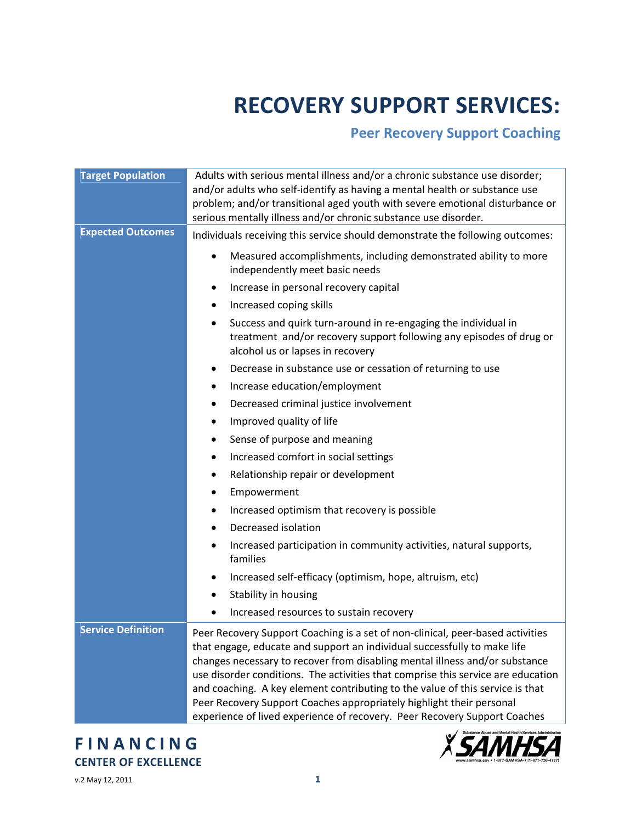# **RECOVERY SUPPORT SERVICES:**

## **Peer Recovery Support Coaching**

| <b>Target Population</b>  | Adults with serious mental illness and/or a chronic substance use disorder;<br>and/or adults who self-identify as having a mental health or substance use<br>problem; and/or transitional aged youth with severe emotional disturbance or<br>serious mentally illness and/or chronic substance use disorder.                                                                                                                                                                                                                                                        |
|---------------------------|---------------------------------------------------------------------------------------------------------------------------------------------------------------------------------------------------------------------------------------------------------------------------------------------------------------------------------------------------------------------------------------------------------------------------------------------------------------------------------------------------------------------------------------------------------------------|
| <b>Expected Outcomes</b>  | Individuals receiving this service should demonstrate the following outcomes:                                                                                                                                                                                                                                                                                                                                                                                                                                                                                       |
|                           | Measured accomplishments, including demonstrated ability to more<br>independently meet basic needs                                                                                                                                                                                                                                                                                                                                                                                                                                                                  |
|                           | Increase in personal recovery capital<br>٠                                                                                                                                                                                                                                                                                                                                                                                                                                                                                                                          |
|                           | Increased coping skills<br>٠                                                                                                                                                                                                                                                                                                                                                                                                                                                                                                                                        |
|                           | Success and quirk turn-around in re-engaging the individual in<br>٠<br>treatment and/or recovery support following any episodes of drug or<br>alcohol us or lapses in recovery                                                                                                                                                                                                                                                                                                                                                                                      |
|                           | Decrease in substance use or cessation of returning to use<br>٠                                                                                                                                                                                                                                                                                                                                                                                                                                                                                                     |
|                           | Increase education/employment<br>٠                                                                                                                                                                                                                                                                                                                                                                                                                                                                                                                                  |
|                           | Decreased criminal justice involvement<br>٠                                                                                                                                                                                                                                                                                                                                                                                                                                                                                                                         |
|                           | Improved quality of life<br>٠                                                                                                                                                                                                                                                                                                                                                                                                                                                                                                                                       |
|                           | Sense of purpose and meaning                                                                                                                                                                                                                                                                                                                                                                                                                                                                                                                                        |
|                           | Increased comfort in social settings<br>٠                                                                                                                                                                                                                                                                                                                                                                                                                                                                                                                           |
|                           | Relationship repair or development<br>٠                                                                                                                                                                                                                                                                                                                                                                                                                                                                                                                             |
|                           | Empowerment                                                                                                                                                                                                                                                                                                                                                                                                                                                                                                                                                         |
|                           | Increased optimism that recovery is possible                                                                                                                                                                                                                                                                                                                                                                                                                                                                                                                        |
|                           | Decreased isolation                                                                                                                                                                                                                                                                                                                                                                                                                                                                                                                                                 |
|                           | Increased participation in community activities, natural supports,<br>families                                                                                                                                                                                                                                                                                                                                                                                                                                                                                      |
|                           | Increased self-efficacy (optimism, hope, altruism, etc)                                                                                                                                                                                                                                                                                                                                                                                                                                                                                                             |
|                           | Stability in housing                                                                                                                                                                                                                                                                                                                                                                                                                                                                                                                                                |
|                           | Increased resources to sustain recovery                                                                                                                                                                                                                                                                                                                                                                                                                                                                                                                             |
| <b>Service Definition</b> | Peer Recovery Support Coaching is a set of non-clinical, peer-based activities<br>that engage, educate and support an individual successfully to make life<br>changes necessary to recover from disabling mental illness and/or substance<br>use disorder conditions. The activities that comprise this service are education<br>and coaching. A key element contributing to the value of this service is that<br>Peer Recovery Support Coaches appropriately highlight their personal<br>experience of lived experience of recovery. Peer Recovery Support Coaches |

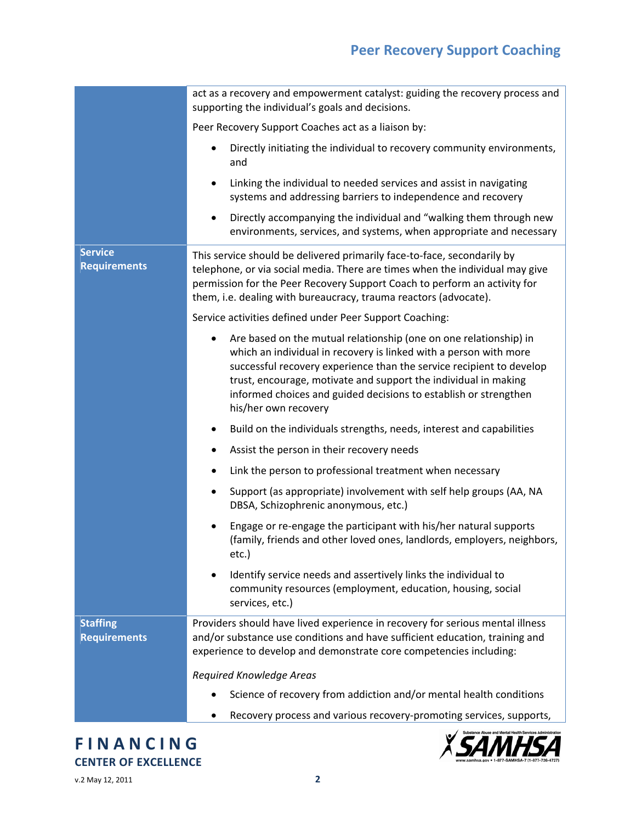# **Peer Recovery Support Coaching**

|                                        | act as a recovery and empowerment catalyst: guiding the recovery process and<br>supporting the individual's goals and decisions.                                                                                                                                                                                                                                                   |
|----------------------------------------|------------------------------------------------------------------------------------------------------------------------------------------------------------------------------------------------------------------------------------------------------------------------------------------------------------------------------------------------------------------------------------|
|                                        | Peer Recovery Support Coaches act as a liaison by:                                                                                                                                                                                                                                                                                                                                 |
|                                        | Directly initiating the individual to recovery community environments,<br>and                                                                                                                                                                                                                                                                                                      |
|                                        | Linking the individual to needed services and assist in navigating<br>٠<br>systems and addressing barriers to independence and recovery                                                                                                                                                                                                                                            |
|                                        | Directly accompanying the individual and "walking them through new<br>environments, services, and systems, when appropriate and necessary                                                                                                                                                                                                                                          |
| <b>Service</b><br><b>Requirements</b>  | This service should be delivered primarily face-to-face, secondarily by<br>telephone, or via social media. There are times when the individual may give<br>permission for the Peer Recovery Support Coach to perform an activity for<br>them, i.e. dealing with bureaucracy, trauma reactors (advocate).                                                                           |
|                                        | Service activities defined under Peer Support Coaching:                                                                                                                                                                                                                                                                                                                            |
|                                        | Are based on the mutual relationship (one on one relationship) in<br>٠<br>which an individual in recovery is linked with a person with more<br>successful recovery experience than the service recipient to develop<br>trust, encourage, motivate and support the individual in making<br>informed choices and guided decisions to establish or strengthen<br>his/her own recovery |
|                                        | Build on the individuals strengths, needs, interest and capabilities<br>٠                                                                                                                                                                                                                                                                                                          |
|                                        | Assist the person in their recovery needs<br>٠                                                                                                                                                                                                                                                                                                                                     |
|                                        | Link the person to professional treatment when necessary<br>٠                                                                                                                                                                                                                                                                                                                      |
|                                        | Support (as appropriate) involvement with self help groups (AA, NA<br>٠<br>DBSA, Schizophrenic anonymous, etc.)                                                                                                                                                                                                                                                                    |
|                                        | Engage or re-engage the participant with his/her natural supports<br>(family, friends and other loved ones, landlords, employers, neighbors,<br>etc.)                                                                                                                                                                                                                              |
|                                        | Identify service needs and assertively links the individual to<br>community resources (employment, education, housing, social<br>services, etc.)                                                                                                                                                                                                                                   |
| <b>Staffing</b><br><b>Requirements</b> | Providers should have lived experience in recovery for serious mental illness<br>and/or substance use conditions and have sufficient education, training and<br>experience to develop and demonstrate core competencies including:                                                                                                                                                 |
|                                        | Required Knowledge Areas                                                                                                                                                                                                                                                                                                                                                           |
|                                        | Science of recovery from addiction and/or mental health conditions                                                                                                                                                                                                                                                                                                                 |
|                                        | Recovery process and various recovery-promoting services, supports,                                                                                                                                                                                                                                                                                                                |

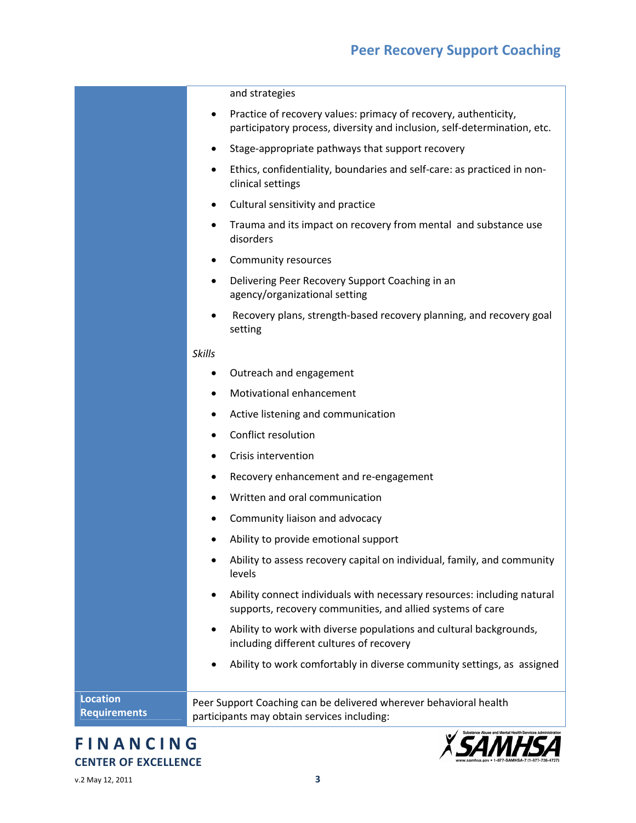#### and strategies

- Practice of recovery values: primacy of recovery, authenticity, participatory process, diversity and inclusion, self‐determination, etc.
- Stage‐appropriate pathways that support recovery
- Ethics, confidentiality, boundaries and self‐care: as practiced in non‐ clinical settings
- Cultural sensitivity and practice
- Trauma and its impact on recovery from mental and substance use disorders
- Community resources
- Delivering Peer Recovery Support Coaching in an agency/organizational setting
- Recovery plans, strength‐based recovery planning, and recovery goal setting

#### *Skills*

- Outreach and engagement
- Motivational enhancement
- Active listening and communication
- Conflict resolution
- **•** Crisis intervention
- Recovery enhancement and re‐engagement
- Written and oral communication
- Community liaison and advocacy
- Ability to provide emotional support
- Ability to assess recovery capital on individual, family, and community levels
- Ability connect individuals with necessary resources: including natural supports, recovery communities, and allied systems of care
- Ability to work with diverse populations and cultural backgrounds, including different cultures of recovery
- Ability to work comfortably in diverse community settings, as assigned

**Location Requirements** Peer Support Coaching can be delivered wherever behavioral health participants may obtain services including:

### **F I N A N C I N G CENTER OF EXCELLENCE**